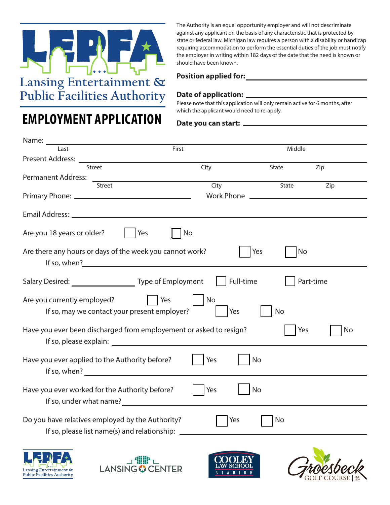

**EMPLOYMENT APPLICATION**

The Authority is an equal opportunity employer and will not descriminate against any applicant on the basis of any characteristic that is protected by state or federal law. Michigan law requires a person with a disability or handicap requiring accommodation to perform the essential duties of the job must notify the employer in writing within 182 days of the date that the need is known or should have been known.

### **Position applied for:**

## **Date of application:**

Please note that this application will only remain active for 6 months, after which the applicant would need to re-apply.

#### **Date you can start:**

| Name: _<br><u> 1989 - Johann Barbara, martxa alemaniar a</u>                                                                                                                                                                                                                                         |                   |                                              |           |
|------------------------------------------------------------------------------------------------------------------------------------------------------------------------------------------------------------------------------------------------------------------------------------------------------|-------------------|----------------------------------------------|-----------|
| Last                                                                                                                                                                                                                                                                                                 | First             | Middle                                       |           |
| Present Address: ___                                                                                                                                                                                                                                                                                 |                   |                                              |           |
| Street                                                                                                                                                                                                                                                                                               | City              | State                                        | Zip       |
| <b>Permanent Address:</b>                                                                                                                                                                                                                                                                            |                   |                                              |           |
| Street                                                                                                                                                                                                                                                                                               | City              | State                                        | Zip       |
|                                                                                                                                                                                                                                                                                                      | <b>Work Phone</b> | <u> 1989 - Johann Stein, mars an de Fran</u> |           |
|                                                                                                                                                                                                                                                                                                      |                   |                                              |           |
| Are you 18 years or older?<br>Yes                                                                                                                                                                                                                                                                    | No                |                                              |           |
| Are there any hours or days of the week you cannot work?                                                                                                                                                                                                                                             |                   | <b>No</b><br>Yes                             |           |
|                                                                                                                                                                                                                                                                                                      | Full-time         |                                              | Part-time |
| Are you currently employed?<br>If so, may we contact your present employer?                                                                                                                                                                                                                          | No<br>Yes<br>Yes  | <b>No</b>                                    |           |
| Have you ever been discharged from employement or asked to resign?<br>If so, please explain: The same state of the state of the state of the state of the state of the state of the state of the state of the state of the state of the state of the state of the state of the state of the state of |                   | Yes                                          | No        |
| Have you ever applied to the Authority before?<br>If so, when? Let us a series of the series of the series of the series of the series of the series of the series of the series of the series of the series of the series of the series of the series of the series of the seri                     | Yes               | No                                           |           |
| Have you ever worked for the Authority before?<br>If so, under what name?                                                                                                                                                                                                                            | Yes               | No                                           |           |
| Do you have relatives employed by the Authority?<br>If so, please list name(s) and relationship: __                                                                                                                                                                                                  | Yes               | No                                           |           |
|                                                                                                                                                                                                                                                                                                      |                   |                                              |           |







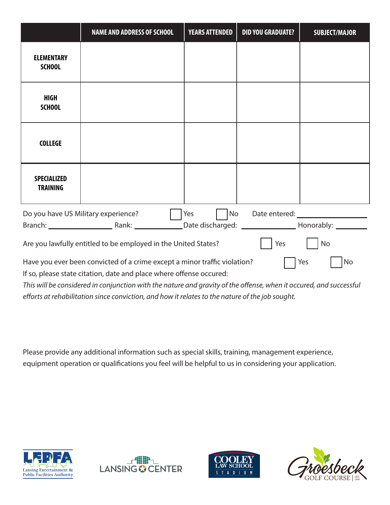|                                                                                                                                                                                                                                                                                          | <b>NAME AND ADDRESS OF SCHOOL</b>                              | <b>YEARS ATTENDED</b> | <b>DID YOU GRADUATE?</b> | <b>SUBJECT/MAJOR</b> |
|------------------------------------------------------------------------------------------------------------------------------------------------------------------------------------------------------------------------------------------------------------------------------------------|----------------------------------------------------------------|-----------------------|--------------------------|----------------------|
| <b>ELEMENTARY</b><br><b>SCHOOL</b>                                                                                                                                                                                                                                                       |                                                                |                       |                          |                      |
| <b>HIGH</b><br><b>SCHOOL</b>                                                                                                                                                                                                                                                             |                                                                |                       |                          |                      |
| <b>COLLEGE</b>                                                                                                                                                                                                                                                                           |                                                                |                       |                          |                      |
| <b>SPECIALIZED</b><br><b>TRAINING</b>                                                                                                                                                                                                                                                    |                                                                |                       |                          |                      |
| No<br>Do you have US Military experience?<br>Date entered: <u>with a series of the series of the series of the series of the series of the series of the series of the series of the series of the series of the series of the series of the series of the series of the seri</u><br>Yes |                                                                |                       |                          |                      |
|                                                                                                                                                                                                                                                                                          |                                                                |                       |                          |                      |
|                                                                                                                                                                                                                                                                                          | Are you lawfully entitled to be employed in the United States? |                       | Yes                      | No                   |
| Have you ever been convicted of a crime except a minor traffic violation?<br>Yes<br>No                                                                                                                                                                                                   |                                                                |                       |                          |                      |
| If so, please state citation, date and place where offense occured:                                                                                                                                                                                                                      |                                                                |                       |                          |                      |

*This will be considered in conjunction with the nature and gravity of the offense, when it occured, and successful efforts at rehabilitation since conviction, and how it relates to the nature of the job sought.*

Please provide any additional information such as special skills, training, management experience, equipment operation or qualifications you feel will be helpful to us in considering your application.







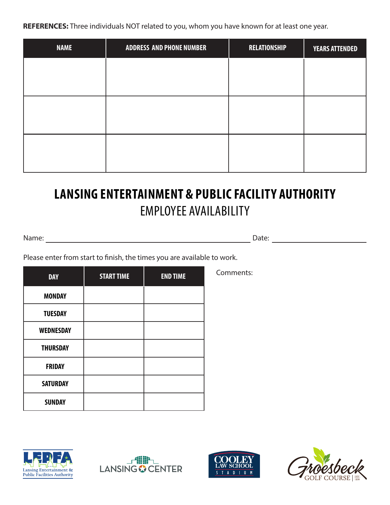**REFERENCES:** Three individuals NOT related to you, whom you have known for at least one year.

| <b>NAME</b> | <b>ADDRESS AND PHONE NUMBER</b> | <b>RELATIONSHIP</b> | <b>YEARS ATTENDED</b> |
|-------------|---------------------------------|---------------------|-----------------------|
|             |                                 |                     |                       |
|             |                                 |                     |                       |
|             |                                 |                     |                       |
|             |                                 |                     |                       |
|             |                                 |                     |                       |
|             |                                 |                     |                       |

# **LANSING ENTERTAINMENT & PUBLIC FACILITY AUTHORITY** EMPLOYEE AVAILABILITY

Name: Date:

Please enter from start to finish, the times you are available to work.

| <b>DAY</b>       | <b>START TIME</b> | <b>END TIME</b> | Comments: |
|------------------|-------------------|-----------------|-----------|
| <b>MONDAY</b>    |                   |                 |           |
| <b>TUESDAY</b>   |                   |                 |           |
| <b>WEDNESDAY</b> |                   |                 |           |
| <b>THURSDAY</b>  |                   |                 |           |
| <b>FRIDAY</b>    |                   |                 |           |
| <b>SATURDAY</b>  |                   |                 |           |
| <b>SUNDAY</b>    |                   |                 |           |







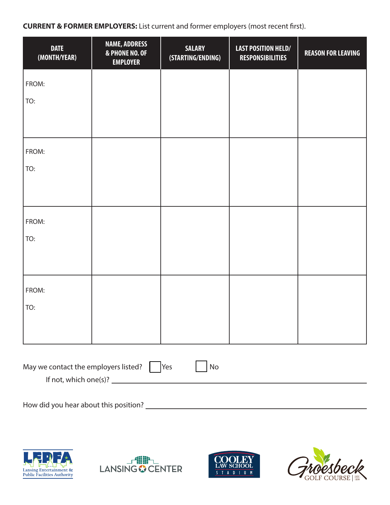**CURRENT & FORMER EMPLOYERS:** List current and former employers (most recent first).

| <b>DATE</b><br>(MONTH/YEAR)                                    | <b>NAME, ADDRESS</b><br>& PHONE NO. OF<br><b>EMPLOYER</b> | <b>SALARY</b><br>(STARTING/ENDING) | <b>LAST POSITION HELD/</b><br><b>RESPONSIBILITIES</b> | <b>REASON FOR LEAVING</b> |
|----------------------------------------------------------------|-----------------------------------------------------------|------------------------------------|-------------------------------------------------------|---------------------------|
| FROM:                                                          |                                                           |                                    |                                                       |                           |
| TO:                                                            |                                                           |                                    |                                                       |                           |
|                                                                |                                                           |                                    |                                                       |                           |
| FROM:                                                          |                                                           |                                    |                                                       |                           |
| TO:                                                            |                                                           |                                    |                                                       |                           |
|                                                                |                                                           |                                    |                                                       |                           |
| FROM:                                                          |                                                           |                                    |                                                       |                           |
| TO:                                                            |                                                           |                                    |                                                       |                           |
|                                                                |                                                           |                                    |                                                       |                           |
| FROM:                                                          |                                                           |                                    |                                                       |                           |
| TO:                                                            |                                                           |                                    |                                                       |                           |
|                                                                |                                                           |                                    |                                                       |                           |
| May we contact the employers listed?<br>  Yes<br>$\mathsf{No}$ |                                                           |                                    |                                                       |                           |
| If not, which one(s)? $\qquad \qquad$                          |                                                           |                                    |                                                       |                           |
|                                                                |                                                           |                                    |                                                       |                           |